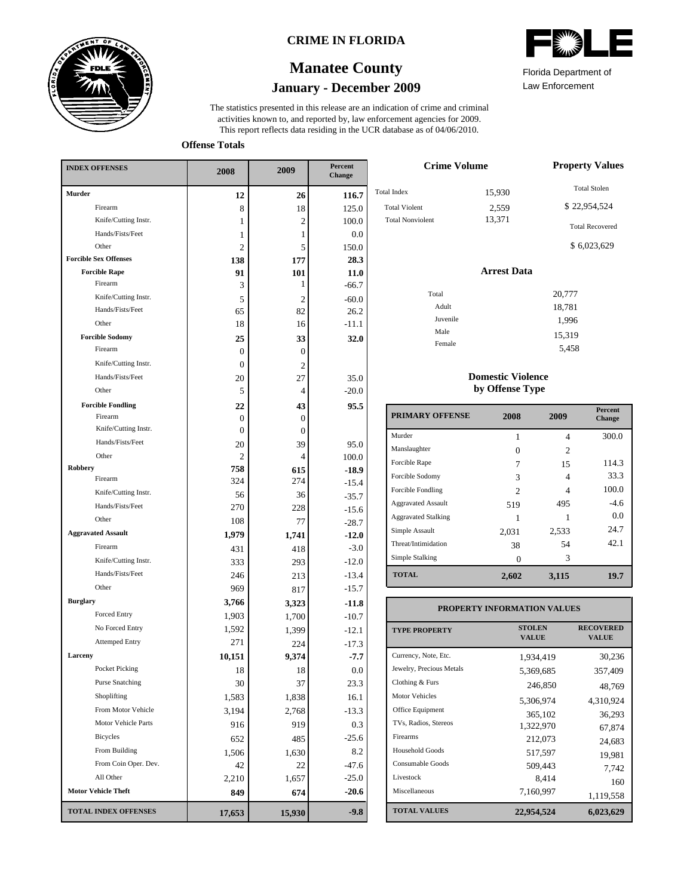

### **CRIME IN FLORIDA**

# **January - December 2009 Manatee County**

This report reflects data residing in the UCR database as of 04/06/2010. activities known to, and reported by, law enforcement agencies for 2009. The statistics presented in this release are an indication of crime and criminal

Total

**Offense Totals**

| <b>INDEX OFFENSES</b>        | 2008           | 2009           | Percent<br>Change |
|------------------------------|----------------|----------------|-------------------|
| Murder                       | 12             | 26             | 116.7             |
| Firearm                      | 8              | 18             | 125.0             |
| Knife/Cutting Instr.         | 1              | $\overline{c}$ | 100.0             |
| Hands/Fists/Feet             | 1              | 1              | $0.0\,$           |
| Other                        | 2              | 5              | 150.0             |
| <b>Forcible Sex Offenses</b> | 138            | 177            | 28.3              |
| <b>Forcible Rape</b>         | 91             | 101            | 11.0              |
| Firearm                      | 3              | 1              | $-66.7$           |
| Knife/Cutting Instr.         | 5              | $\overline{c}$ | $-60.0$           |
| Hands/Fists/Feet             | 65             | 82             | 26.2              |
| Other                        | 18             | 16             | $-11.1$           |
| <b>Forcible Sodomy</b>       | 25             | 33             | 32.0              |
| Firearm                      | $\overline{0}$ | $\overline{0}$ |                   |
| Knife/Cutting Instr.         | $\overline{0}$ | $\overline{c}$ |                   |
| Hands/Fists/Feet             | 20             | 27             | 35.0              |
| Other                        | 5              | 4              | $-20.0$           |
| <b>Forcible Fondling</b>     | 22             | 43             | 95.5              |
| Firearm                      | 0              | $\overline{0}$ |                   |
| Knife/Cutting Instr.         | 0              | $\overline{0}$ |                   |
| Hands/Fists/Feet             | 20             | 39             | 95.0              |
| Other                        | 2              | 4              | 100.0             |
| Robbery                      | 758            | 615            | $-18.9$           |
| Firearm                      | 324            | 274            | $-15.4$           |
| Knife/Cutting Instr.         | 56             | 36             | $-35.7$           |
| Hands/Fists/Feet             | 270            | 228            | $-15.6$           |
| Other                        | 108            | 77             | $-28.7$           |
| <b>Aggravated Assault</b>    | 1,979          | 1,741          | $-12.0$           |
| Firearm                      | 431            | 418            | $-3.0$            |
| Knife/Cutting Instr.         | 333            | 293            | $-12.0$           |
| Hands/Fists/Feet             | 246            | 213            | $-13.4$           |
| Other                        | 969            | 817            | $-15.7$           |
| <b>Burglary</b>              | 3,766          | 3,323          | $-11.8$           |
| <b>Forced Entry</b>          | 1,903          | 1,700          | $-10.7$           |
| No Forced Entry              | 1.592          | 1,399          | $-12.1$           |
| <b>Attemped Entry</b>        | 271            | 224            | $-17.3$           |
| Larceny                      | 10,151         | 9,374          | -7.7              |
| Pocket Picking               | 18             | 18             | $0.0\,$           |
| <b>Purse Snatching</b>       | 30             | 37             | 23.3              |
| Shoplifting                  | 1,583          | 1,838          | 16.1              |
| From Motor Vehicle           | 3,194          | 2,768          | $-13.3$           |
| Motor Vehicle Parts          | 916            | 919            | 0.3               |
| <b>Bicycles</b>              | 652            | 485            | $-25.6$           |
| From Building                | 1,506          | 1,630          | 8.2               |
| From Coin Oper. Dev.         | 42             | 22             | -47.6             |
| All Other                    | 2,210          | 1,657          | $-25.0$           |
| <b>Motor Vehicle Theft</b>   | 849            | 674            | $-20.6$           |
| <b>TOTAL INDEX OFFENSES</b>  | 17,653         | 15,930         | $-9.8$            |
|                              |                |                |                   |

| <b>Crime Volume</b>     | <b>Property Values</b> |                        |
|-------------------------|------------------------|------------------------|
| tal Index               | 15,930                 | <b>Total Stolen</b>    |
| <b>Total Violent</b>    | 2,559                  | \$22,954,524           |
| <b>Total Nonviolent</b> | 13,371                 | <b>Total Recovered</b> |
|                         |                        | \$6,023,629            |
|                         | <b>Arrest Data</b>     |                        |
| Total                   |                        | 20,777                 |
| Adult                   |                        | 18,781                 |
| Juvenile                |                        | 1.996                  |

#### **Domestic Violence by Offense Type**

Male Female

| <b>PRIMARY OFFENSE</b>     | 2008           | 2009           | <b>Percent</b><br><b>Change</b> |
|----------------------------|----------------|----------------|---------------------------------|
| Murder                     |                | $\overline{4}$ | 300.0                           |
| Manslaughter               |                | $\mathfrak{D}$ |                                 |
| Forcible Rape              |                | 15             | 114.3                           |
| Forcible Sodomy            | 3              | 4              | 33.3                            |
| Forcible Fondling          | $\mathfrak{D}$ | 4              | 100.0                           |
| <b>Aggravated Assault</b>  | 519            | 495            | $-4.6$                          |
| <b>Aggravated Stalking</b> |                |                | 0.0                             |
| Simple Assault             | 2,031          | 2,533          | 24.7                            |
| Threat/Intimidation        | 38             | 54             | 42.1                            |
| Simple Stalking            |                | 3              |                                 |
| <b>TOTAL</b>               | 2,602          | 3,115          | 19.7                            |

### **PROPERTY INFORMATION VALUES**

| <b>TYPE PROPERTY</b>     | <b>STOLEN</b><br><b>VALUE</b> | <b>RECOVERED</b><br><b>VALUE</b> |
|--------------------------|-------------------------------|----------------------------------|
| Currency, Note, Etc.     | 1.934.419                     | 30,236                           |
| Jewelry, Precious Metals | 5,369,685                     | 357,409                          |
| Clothing & Furs          | 246,850                       | 48,769                           |
| Motor Vehicles           | 5.306.974                     | 4.310.924                        |
| Office Equipment         | 365,102                       | 36,293                           |
| TVs, Radios, Stereos     | 1,322,970                     | 67.874                           |
| Firearms                 | 212,073                       | 24,683                           |
| Household Goods          | 517,597                       | 19,981                           |
| Consumable Goods         | 509,443                       | 7,742                            |
| Livestock                | 8.414                         | 160                              |
| Miscellaneous            | 7,160,997                     | 1,119,558                        |
| <b>TOTAL VALUES</b>      | 22,954,524                    | 6,023,629                        |



Law Enforcement Florida Department of

> 1,996 15,319 5,458